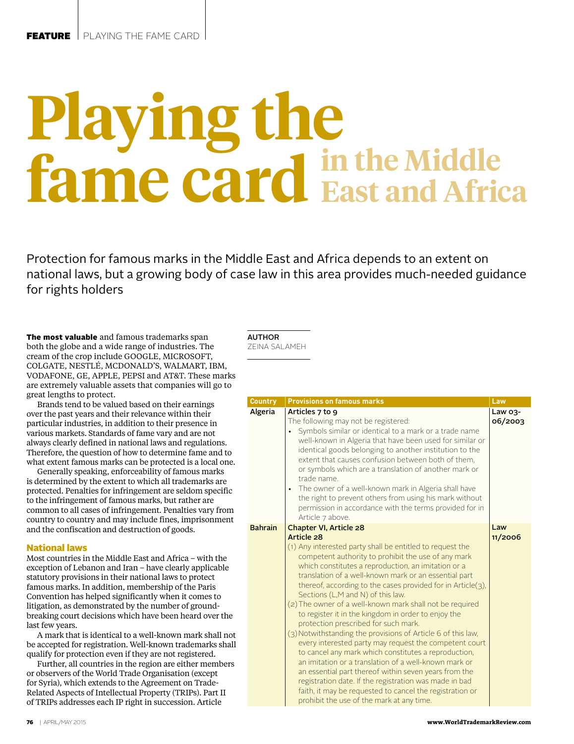# **Playing the fame card in the Middle East and Africa**

Protection for famous marks in the Middle East and Africa depends to an extent on national laws, but a growing body of case law in this area provides much-needed guidance for rights holders

The most valuable and famous trademarks span both the globe and a wide range of industries. The cream of the crop include GOOGLE, MICROSOFT, COLGATE, NESTLÉ, MCDONALD'S, WALMART, IBM, VODAFONE, GE, APPLE, PEPSI and AT&T. These marks are extremely valuable assets that companies will go to great lengths to protect.

Brands tend to be valued based on their earnings over the past years and their relevance within their particular industries, in addition to their presence in various markets. Standards of fame vary and are not always clearly defined in national laws and regulations. Therefore, the question of how to determine fame and to what extent famous marks can be protected is a local one.

Generally speaking, enforceability of famous marks is determined by the extent to which all trademarks are protected. Penalties for infringement are seldom specific to the infringement of famous marks, but rather are common to all cases of infringement. Penalties vary from country to country and may include fines, imprisonment and the confiscation and destruction of goods.

## National laws

Most countries in the Middle East and Africa – with the exception of Lebanon and Iran – have clearly applicable statutory provisions in their national laws to protect famous marks. In addition, membership of the Paris Convention has helped significantly when it comes to litigation, as demonstrated by the number of groundbreaking court decisions which have been heard over the last few years.

A mark that is identical to a well-known mark shall not be accepted for registration. Well-known trademarks shall qualify for protection even if they are not registered.

Further, all countries in the region are either members or observers of the World Trade Organisation (except for Syria), which extends to the Agreement on Trade-Related Aspects of Intellectual Property (TRIPs). Part II of TRIPs addresses each IP right in succession. Article

AUTHOR

ZEINA SALAMEH

| <b>Country</b> | <b>Provisions on famous marks</b>                                                                                                                                                                                                                                                                                                                                                                                                                                                                                                                                                                                                                                                                                                                                                                                                                                                                                                                                                                                  | Law                |
|----------------|--------------------------------------------------------------------------------------------------------------------------------------------------------------------------------------------------------------------------------------------------------------------------------------------------------------------------------------------------------------------------------------------------------------------------------------------------------------------------------------------------------------------------------------------------------------------------------------------------------------------------------------------------------------------------------------------------------------------------------------------------------------------------------------------------------------------------------------------------------------------------------------------------------------------------------------------------------------------------------------------------------------------|--------------------|
| Algeria        | Articles 7 to 9<br>The following may not be registered:<br>Symbols similar or identical to a mark or a trade name<br>well-known in Algeria that have been used for similar or<br>identical goods belonging to another institution to the<br>extent that causes confusion between both of them.<br>or symbols which are a translation of another mark or<br>trade name.<br>The owner of a well-known mark in Algeria shall have<br>the right to prevent others from using his mark without<br>permission in accordance with the terms provided for in<br>Article 7 above.                                                                                                                                                                                                                                                                                                                                                                                                                                           | Law 03-<br>06/2003 |
| <b>Bahrain</b> | Chapter VI, Article 28<br>Article 28<br>(1) Any interested party shall be entitled to request the<br>competent authority to prohibit the use of any mark<br>which constitutes a reproduction, an imitation or a<br>translation of a well-known mark or an essential part<br>thereof, according to the cases provided for in Article $(3)$ ,<br>Sections (L,M and N) of this law.<br>(2) The owner of a well-known mark shall not be required<br>to register it in the kingdom in order to enjoy the<br>protection prescribed for such mark.<br>(3) Notwithstanding the provisions of Article 6 of this law,<br>every interested party may request the competent court<br>to cancel any mark which constitutes a reproduction,<br>an imitation or a translation of a well-known mark or<br>an essential part thereof within seven years from the<br>registration date. If the registration was made in bad<br>faith, it may be requested to cancel the registration or<br>prohibit the use of the mark at any time. | Law<br>11/2006     |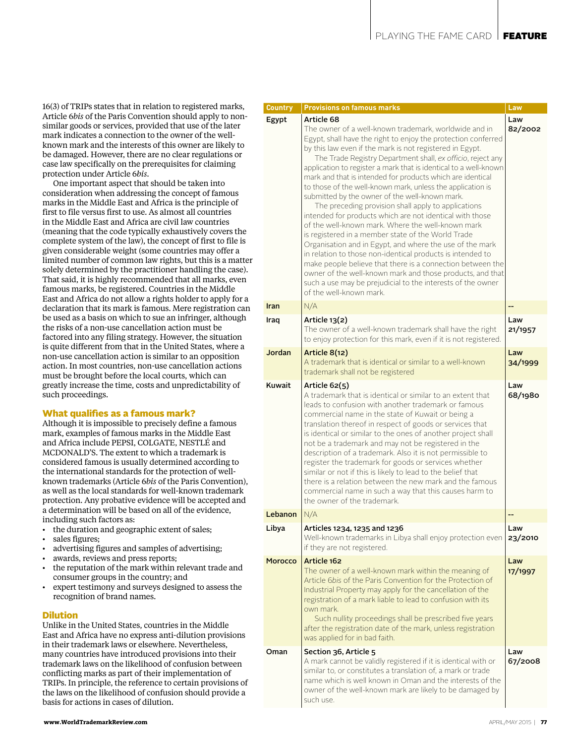16(3) of TRIPs states that in relation to registered marks, Article 6*bis* of the Paris Convention should apply to nonsimilar goods or services, provided that use of the later mark indicates a connection to the owner of the wellknown mark and the interests of this owner are likely to be damaged. However, there are no clear regulations or case law specifically on the prerequisites for claiming protection under Article 6*bis*.

One important aspect that should be taken into consideration when addressing the concept of famous marks in the Middle East and Africa is the principle of first to file versus first to use. As almost all countries in the Middle East and Africa are civil law countries (meaning that the code typically exhaustively covers the complete system of the law), the concept of first to file is given considerable weight (some countries may offer a limited number of common law rights, but this is a matter solely determined by the practitioner handling the case). That said, it is highly recommended that all marks, even famous marks, be registered. Countries in the Middle East and Africa do not allow a rights holder to apply for a declaration that its mark is famous. Mere registration can be used as a basis on which to sue an infringer, although the risks of a non-use cancellation action must be factored into any filing strategy. However, the situation is quite different from that in the United States, where a non-use cancellation action is similar to an opposition action. In most countries, non-use cancellation actions must be brought before the local courts, which can greatly increase the time, costs and unpredictability of such proceedings.

# What qualifies as a famous mark?

Although it is impossible to precisely define a famous mark, examples of famous marks in the Middle East and Africa include PEPSI, COLGATE, NESTLÉ and MCDONALD'S. The extent to which a trademark is considered famous is usually determined according to the international standards for the protection of wellknown trademarks (Article 6*bis* of the Paris Convention), as well as the local standards for well-known trademark protection. Any probative evidence will be accepted and a determination will be based on all of the evidence, including such factors as:

- the duration and geographic extent of sales;
- sales figures:
- advertising figures and samples of advertising;
- awards, reviews and press reports;
- the reputation of the mark within relevant trade and consumer groups in the country; and
- expert testimony and surveys designed to assess the recognition of brand names.

#### Dilution

Unlike in the United States, countries in the Middle East and Africa have no express anti-dilution provisions in their trademark laws or elsewhere. Nevertheless, many countries have introduced provisions into their trademark laws on the likelihood of confusion between conflicting marks as part of their implementation of TRIPs. In principle, the reference to certain provisions of the laws on the likelihood of confusion should provide a basis for actions in cases of dilution.

| <b>Country</b> | <b>Provisions on famous marks</b>                                                                                                                                                                                                                                                                                                                                                                                                                                                                                                                                                                                                                                                                                                                                                                                                                                                                                                                                                                                                                                                              | Law            |
|----------------|------------------------------------------------------------------------------------------------------------------------------------------------------------------------------------------------------------------------------------------------------------------------------------------------------------------------------------------------------------------------------------------------------------------------------------------------------------------------------------------------------------------------------------------------------------------------------------------------------------------------------------------------------------------------------------------------------------------------------------------------------------------------------------------------------------------------------------------------------------------------------------------------------------------------------------------------------------------------------------------------------------------------------------------------------------------------------------------------|----------------|
| Egypt          | Article 68<br>The owner of a well-known trademark, worldwide and in<br>Egypt, shall have the right to enjoy the protection conferred<br>by this law even if the mark is not registered in Egypt.<br>The Trade Registry Department shall, ex officio, reject any<br>application to register a mark that is identical to a well-known<br>mark and that is intended for products which are identical<br>to those of the well-known mark, unless the application is<br>submitted by the owner of the well-known mark.<br>The preceding provision shall apply to applications<br>intended for products which are not identical with those<br>of the well-known mark. Where the well-known mark<br>is registered in a member state of the World Trade<br>Organisation and in Egypt, and where the use of the mark<br>in relation to those non-identical products is intended to<br>make people believe that there is a connection between the<br>owner of the well-known mark and those products, and that<br>such a use may be prejudicial to the interests of the owner<br>of the well-known mark. | Law<br>82/2002 |
| Iran           | N/A                                                                                                                                                                                                                                                                                                                                                                                                                                                                                                                                                                                                                                                                                                                                                                                                                                                                                                                                                                                                                                                                                            | --             |
| Iraq           | Article 13(2)<br>The owner of a well-known trademark shall have the right<br>to enjoy protection for this mark, even if it is not registered.                                                                                                                                                                                                                                                                                                                                                                                                                                                                                                                                                                                                                                                                                                                                                                                                                                                                                                                                                  | Law<br>21/1957 |
| Jordan         | Article 8(12)<br>A trademark that is identical or similar to a well-known<br>trademark shall not be registered                                                                                                                                                                                                                                                                                                                                                                                                                                                                                                                                                                                                                                                                                                                                                                                                                                                                                                                                                                                 | Law<br>34/1999 |
| Kuwait         | Article 62(5)<br>A trademark that is identical or similar to an extent that<br>leads to confusion with another trademark or famous<br>commercial name in the state of Kuwait or being a<br>translation thereof in respect of goods or services that<br>is identical or similar to the ones of another project shall<br>not be a trademark and may not be registered in the<br>description of a trademark. Also it is not permissible to<br>register the trademark for goods or services whether<br>similar or not if this is likely to lead to the belief that<br>there is a relation between the new mark and the famous<br>commercial name in such a way that this causes harm to<br>the owner of the trademark.                                                                                                                                                                                                                                                                                                                                                                             | Law<br>68/1980 |
| Lebanon        | N/A                                                                                                                                                                                                                                                                                                                                                                                                                                                                                                                                                                                                                                                                                                                                                                                                                                                                                                                                                                                                                                                                                            |                |
| Libya          | Articles 1234, 1235 and 1236<br>Well-known trademarks in Libya shall enjoy protection even<br>if they are not registered.                                                                                                                                                                                                                                                                                                                                                                                                                                                                                                                                                                                                                                                                                                                                                                                                                                                                                                                                                                      | Law<br>23/2010 |
| Morocco        | Article 162<br>The owner of a well-known mark within the meaning of<br>Article 6bis of the Paris Convention for the Protection of<br>Industrial Property may apply for the cancellation of the<br>registration of a mark liable to lead to confusion with its<br>own mark.<br>Such nullity proceedings shall be prescribed five years<br>after the registration date of the mark, unless registration<br>was applied for in bad faith.                                                                                                                                                                                                                                                                                                                                                                                                                                                                                                                                                                                                                                                         | Law<br>17/1997 |
| Oman           | Section 36, Article 5<br>A mark cannot be validly registered if it is identical with or<br>similar to, or constitutes a translation of, a mark or trade<br>name which is well known in Oman and the interests of the<br>owner of the well-known mark are likely to be damaged by<br>such use.                                                                                                                                                                                                                                                                                                                                                                                                                                                                                                                                                                                                                                                                                                                                                                                                  | Law<br>67/2008 |